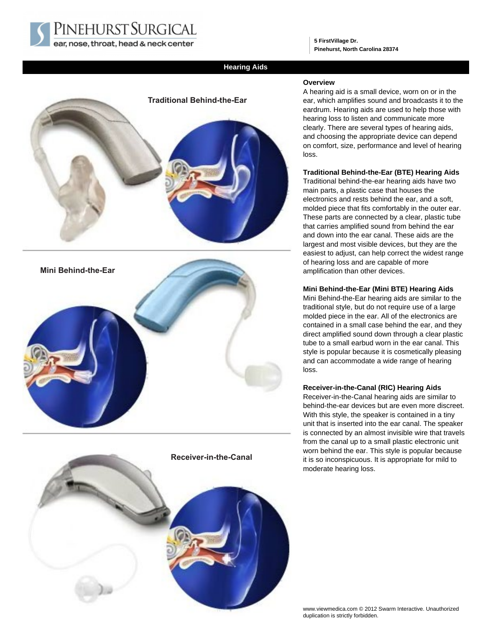PINEHURST SURGICAL ear, nose, throat, head & neck center

**5 FirstVillage Dr. Pinehurst, North Carolina 28374**

# **Hearing Aids**



# **Receiver-in-the-Canal**

## **Overview**

A hearing aid is a small device, worn on or in the ear, which amplifies sound and broadcasts it to the eardrum. Hearing aids are used to help those with hearing loss to listen and communicate more clearly. There are several types of hearing aids, and choosing the appropriate device can depend on comfort, size, performance and level of hearing loss.

## **Traditional Behind-the-Ear (BTE) Hearing Aids**

Traditional behind-the-ear hearing aids have two main parts, a plastic case that houses the electronics and rests behind the ear, and a soft, molded piece that fits comfortably in the outer ear. These parts are connected by a clear, plastic tube that carries amplified sound from behind the ear and down into the ear canal. These aids are the largest and most visible devices, but they are the easiest to adjust, can help correct the widest range of hearing loss and are capable of more amplification than other devices.

#### **Mini Behind-the-Ear (Mini BTE) Hearing Aids**

Mini Behind-the-Ear hearing aids are similar to the traditional style, but do not require use of a large molded piece in the ear. All of the electronics are contained in a small case behind the ear, and they direct amplified sound down through a clear plastic tube to a small earbud worn in the ear canal. This style is popular because it is cosmetically pleasing and can accommodate a wide range of hearing loss.

# **Receiver-in-the-Canal (RIC) Hearing Aids**

Receiver-in-the-Canal hearing aids are similar to behind-the-ear devices but are even more discreet. With this style, the speaker is contained in a tiny unit that is inserted into the ear canal. The speaker is connected by an almost invisible wire that travels from the canal up to a small plastic electronic unit worn behind the ear. This style is popular because it is so inconspicuous. It is appropriate for mild to moderate hearing loss.

www.viewmedica.com © 2012 Swarm Interactive. Unauthorized duplication is strictly forbidden.